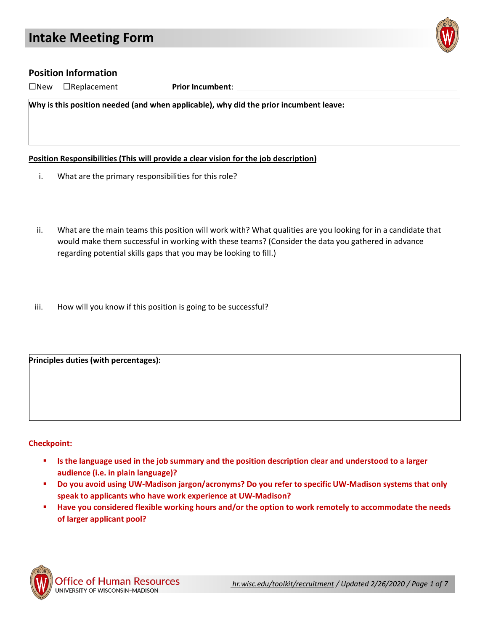

## **Position Information**

☐New ☐Replacement **Prior Incumbent**:

**Why is this position needed (and when applicable), why did the prior incumbent leave:**

**Position Responsibilities (This will provide a clear vision for the job description)**

- i. What are the primary responsibilities for this role?
- ii. What are the main teams this position will work with? What qualities are you looking for in a candidate that would make them successful in working with these teams? (Consider the data you gathered in advance regarding potential skills gaps that you may be looking to fill.)
- iii. How will you know if this position is going to be successful?

**Principles duties (with percentages):**

#### **Checkpoint:**

- **Is the language used in the job summary and the position description clear and understood to a larger audience (i.e. in plain language)?**
- **Do you avoid using UW-Madison jargon/acronyms? Do you refer to specific UW-Madison systems that only speak to applicants who have work experience at UW-Madison?**
- **Have you considered flexible working hours and/or the option to work remotely to accommodate the needs of larger applicant pool?**

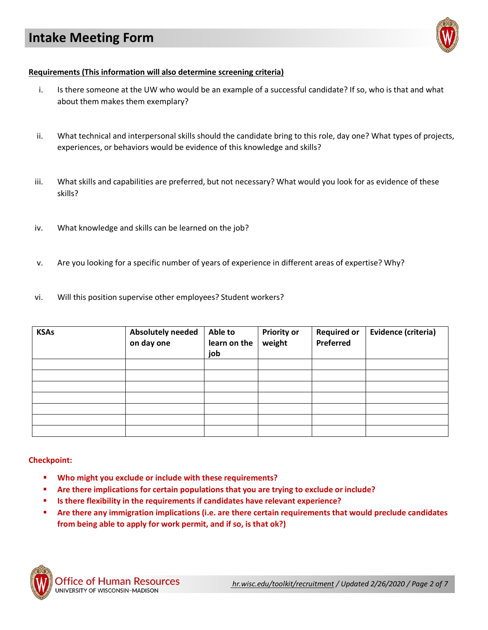

#### **Requirements (This information will also determine screening criteria)**

- i. Is there someone at the UW who would be an example of a successful candidate? If so, who is that and what about them makes them exemplary?
- ii. What technical and interpersonal skills should the candidate bring to this role, day one? What types of projects, experiences, or behaviors would be evidence of this knowledge and skills?
- iii. What skills and capabilities are preferred, but not necessary? What would you look for as evidence of these skills?
- iv. What knowledge and skills can be learned on the job?
- v. Are you looking for a specific number of years of experience in different areas of expertise? Why?
- vi. Will this position supervise other employees? Student workers?

| <b>KSAs</b> | <b>Absolutely needed</b><br>on day one | Able to<br>learn on the<br>job | <b>Priority or</b><br>weight | <b>Required or</b><br>Preferred | Evidence (criteria) |
|-------------|----------------------------------------|--------------------------------|------------------------------|---------------------------------|---------------------|
|             |                                        |                                |                              |                                 |                     |
|             |                                        |                                |                              |                                 |                     |
|             |                                        |                                |                              |                                 |                     |
|             |                                        |                                |                              |                                 |                     |
|             |                                        |                                |                              |                                 |                     |
|             |                                        |                                |                              |                                 |                     |
|             |                                        |                                |                              |                                 |                     |

#### **Checkpoint:**

- **Who might you exclude or include with these requirements?**
- **Are there implications for certain populations that you are trying to exclude or include?**
- **Is there flexibility in the requirements if candidates have relevant experience?**
- **Are there any immigration implications (i.e. are there certain requirements that would preclude candidates from being able to apply for work permit, and if so, is that ok?)**

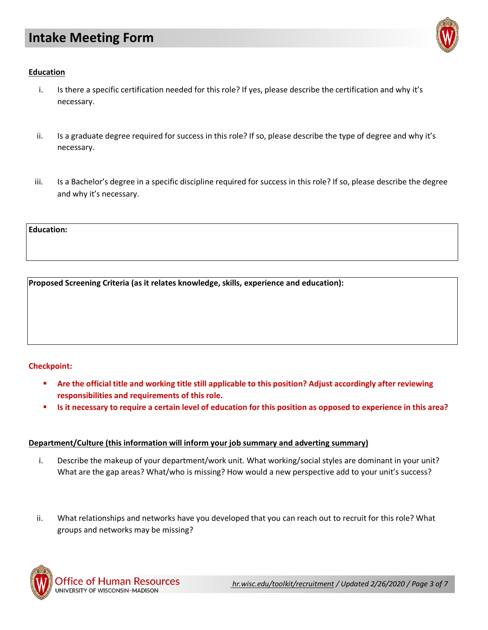

### **Education**

- i. Is there a specific certification needed for this role? If yes, please describe the certification and why it's necessary.
- ii. Is a graduate degree required for success in this role? If so, please describe the type of degree and why it's necessary.
- iii. Is a Bachelor's degree in a specific discipline required for success in this role? If so, please describe the degree and why it's necessary.

**Education:**

**Proposed Screening Criteria (as it relates knowledge, skills, experience and education):**

## **Checkpoint:**

- **Are the official title and working title still applicable to this position? Adjust accordingly after reviewing responsibilities and requirements of this role.**
- **Is it necessary to require a certain level of education for this position as opposed to experience in this area?**

#### **Department/Culture (this information will inform your job summary and adverting summary)**

- i. Describe the makeup of your department/work unit. What working/social styles are dominant in your unit? What are the gap areas? What/who is missing? How would a new perspective add to your unit's success?
- ii. What relationships and networks have you developed that you can reach out to recruit for this role? What groups and networks may be missing?

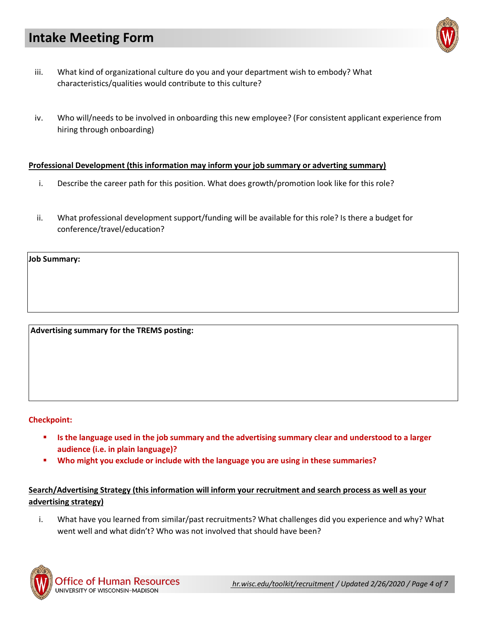- iii. What kind of organizational culture do you and your department wish to embody? What characteristics/qualities would contribute to this culture?
- iv. Who will/needs to be involved in onboarding this new employee? (For consistent applicant experience from hiring through onboarding)

#### **Professional Development (this information may inform your job summary or adverting summary)**

- i. Describe the career path for this position. What does growth/promotion look like for this role?
- ii. What professional development support/funding will be available for this role? Is there a budget for conference/travel/education?

**Job Summary:**

**Advertising summary for the TREMS posting:**

#### **Checkpoint:**

- **Is the language used in the job summary and the advertising summary clear and understood to a larger audience (i.e. in plain language)?**
- **Who might you exclude or include with the language you are using in these summaries?**

## **Search/Advertising Strategy (this information will inform your recruitment and search process as well as your advertising strategy)**

i. What have you learned from similar/past recruitments? What challenges did you experience and why? What went well and what didn't? Who was not involved that should have been?



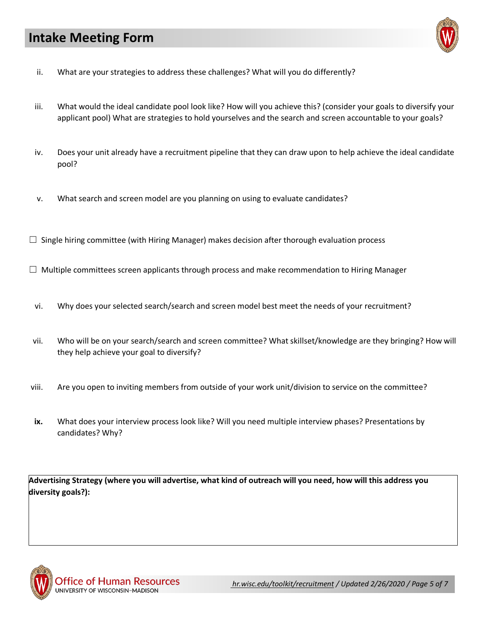

- ii. What are your strategies to address these challenges? What will you do differently?
- iii. What would the ideal candidate pool look like? How will you achieve this? (consider your goals to diversify your applicant pool) What are strategies to hold yourselves and the search and screen accountable to your goals?
- iv. Does your unit already have a recruitment pipeline that they can draw upon to help achieve the ideal candidate pool?
- v. What search and screen model are you planning on using to evaluate candidates?
- $\Box$  Single hiring committee (with Hiring Manager) makes decision after thorough evaluation process
- $\Box$  Multiple committees screen applicants through process and make recommendation to Hiring Manager
- vi. Why does your selected search/search and screen model best meet the needs of your recruitment?
- vii. Who will be on your search/search and screen committee? What skillset/knowledge are they bringing? How will they help achieve your goal to diversify?
- viii. Are you open to inviting members from outside of your work unit/division to service on the committee?
- **ix.** What does your interview process look like? Will you need multiple interview phases? Presentations by candidates? Why?

**Advertising Strategy (where you will advertise, what kind of outreach will you need, how will this address you diversity goals?):**

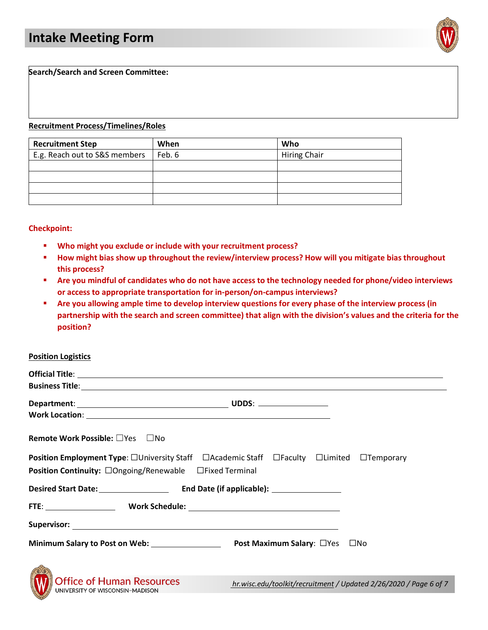

**Search/Search and Screen Committee:**

#### **Recruitment Process/Timelines/Roles**

| <b>Recruitment Step</b>       | When   | Who                 |
|-------------------------------|--------|---------------------|
| E.g. Reach out to S&S members | Feb. 6 | <b>Hiring Chair</b> |
|                               |        |                     |
|                               |        |                     |
|                               |        |                     |
|                               |        |                     |

#### **Checkpoint:**

- **Who might you exclude or include with your recruitment process?**
- **How might bias show up throughout the review/interview process? How will you mitigate bias throughout this process?**
- **Are you mindful of candidates who do not have access to the technology needed for phone/video interviews or access to appropriate transportation for in-person/on-campus interviews?**
- **Are you allowing ample time to develop interview questions for every phase of the interview process (in partnership with the search and screen committee) that align with the division's values and the criteria for the position?**

#### **Position Logistics**

| <b>Remote Work Possible:</b> □Yes □No                                                           |                                                                   |
|-------------------------------------------------------------------------------------------------|-------------------------------------------------------------------|
| <b>Position Employment Type:</b> □University Staff □Academic Staff □Faculty □Limited □Temporary |                                                                   |
| Position Continuity: □Ongoing/Renewable □Fixed Terminal                                         |                                                                   |
|                                                                                                 |                                                                   |
|                                                                                                 |                                                                   |
|                                                                                                 |                                                                   |
|                                                                                                 |                                                                   |
|                                                                                                 |                                                                   |
| <b>Office of Human Resources</b><br>UNIVERSITY OF WISCONSIN-MADISON                             | hr.wisc.edu/toolkit/recruitment / Updated 2/26/2020 / Page 6 of 7 |
|                                                                                                 |                                                                   |